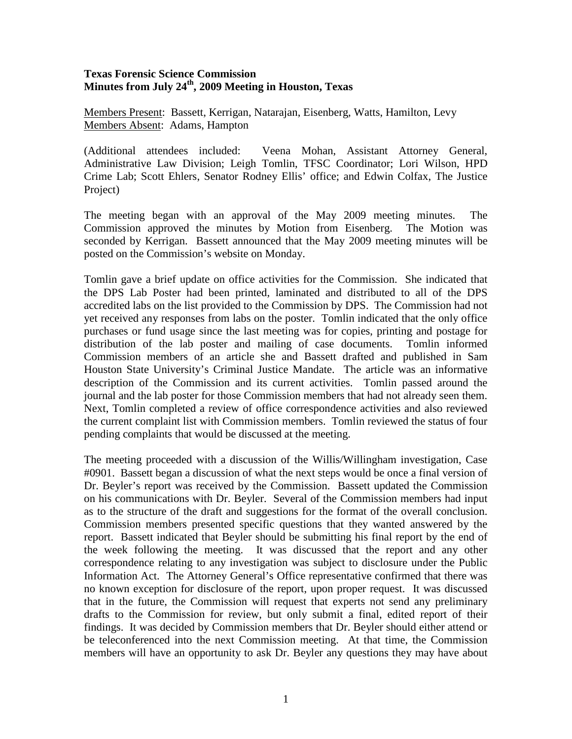## **Texas Forensic Science Commission Minutes from July 24th, 2009 Meeting in Houston, Texas**

Members Present: Bassett, Kerrigan, Natarajan, Eisenberg, Watts, Hamilton, Levy Members Absent: Adams, Hampton

(Additional attendees included: Veena Mohan, Assistant Attorney General, Administrative Law Division; Leigh Tomlin, TFSC Coordinator; Lori Wilson, HPD Crime Lab; Scott Ehlers, Senator Rodney Ellis' office; and Edwin Colfax, The Justice Project)

The meeting began with an approval of the May 2009 meeting minutes. The Commission approved the minutes by Motion from Eisenberg. The Motion was seconded by Kerrigan. Bassett announced that the May 2009 meeting minutes will be posted on the Commission's website on Monday.

Tomlin gave a brief update on office activities for the Commission. She indicated that the DPS Lab Poster had been printed, laminated and distributed to all of the DPS accredited labs on the list provided to the Commission by DPS. The Commission had not yet received any responses from labs on the poster. Tomlin indicated that the only office purchases or fund usage since the last meeting was for copies, printing and postage for distribution of the lab poster and mailing of case documents. Tomlin informed Commission members of an article she and Bassett drafted and published in Sam Houston State University's Criminal Justice Mandate. The article was an informative description of the Commission and its current activities. Tomlin passed around the journal and the lab poster for those Commission members that had not already seen them. Next, Tomlin completed a review of office correspondence activities and also reviewed the current complaint list with Commission members. Tomlin reviewed the status of four pending complaints that would be discussed at the meeting.

The meeting proceeded with a discussion of the Willis/Willingham investigation, Case #0901. Bassett began a discussion of what the next steps would be once a final version of Dr. Beyler's report was received by the Commission. Bassett updated the Commission on his communications with Dr. Beyler. Several of the Commission members had input as to the structure of the draft and suggestions for the format of the overall conclusion. Commission members presented specific questions that they wanted answered by the report. Bassett indicated that Beyler should be submitting his final report by the end of the week following the meeting. It was discussed that the report and any other correspondence relating to any investigation was subject to disclosure under the Public Information Act. The Attorney General's Office representative confirmed that there was no known exception for disclosure of the report, upon proper request. It was discussed that in the future, the Commission will request that experts not send any preliminary drafts to the Commission for review, but only submit a final, edited report of their findings. It was decided by Commission members that Dr. Beyler should either attend or be teleconferenced into the next Commission meeting. At that time, the Commission members will have an opportunity to ask Dr. Beyler any questions they may have about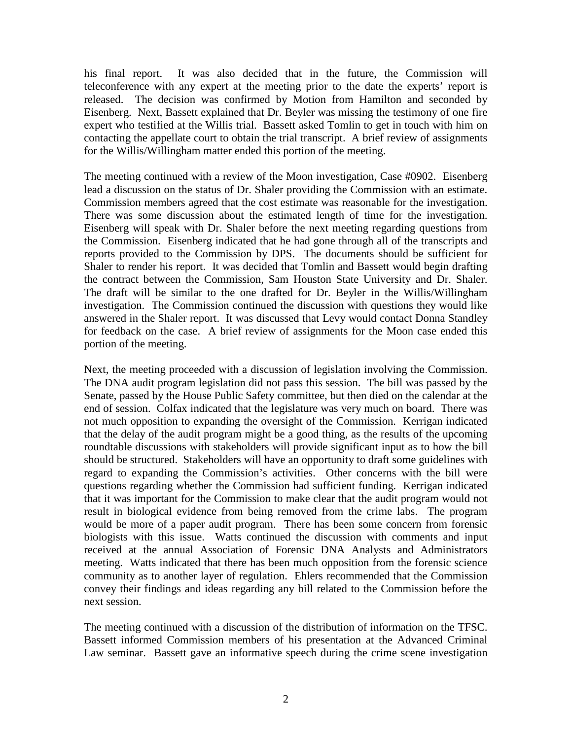his final report. It was also decided that in the future, the Commission will teleconference with any expert at the meeting prior to the date the experts' report is released. The decision was confirmed by Motion from Hamilton and seconded by Eisenberg. Next, Bassett explained that Dr. Beyler was missing the testimony of one fire expert who testified at the Willis trial. Bassett asked Tomlin to get in touch with him on contacting the appellate court to obtain the trial transcript. A brief review of assignments for the Willis/Willingham matter ended this portion of the meeting.

The meeting continued with a review of the Moon investigation, Case #0902. Eisenberg lead a discussion on the status of Dr. Shaler providing the Commission with an estimate. Commission members agreed that the cost estimate was reasonable for the investigation. There was some discussion about the estimated length of time for the investigation. Eisenberg will speak with Dr. Shaler before the next meeting regarding questions from the Commission. Eisenberg indicated that he had gone through all of the transcripts and reports provided to the Commission by DPS. The documents should be sufficient for Shaler to render his report. It was decided that Tomlin and Bassett would begin drafting the contract between the Commission, Sam Houston State University and Dr. Shaler. The draft will be similar to the one drafted for Dr. Beyler in the Willis/Willingham investigation. The Commission continued the discussion with questions they would like answered in the Shaler report. It was discussed that Levy would contact Donna Standley for feedback on the case. A brief review of assignments for the Moon case ended this portion of the meeting.

Next, the meeting proceeded with a discussion of legislation involving the Commission. The DNA audit program legislation did not pass this session. The bill was passed by the Senate, passed by the House Public Safety committee, but then died on the calendar at the end of session. Colfax indicated that the legislature was very much on board. There was not much opposition to expanding the oversight of the Commission. Kerrigan indicated that the delay of the audit program might be a good thing, as the results of the upcoming roundtable discussions with stakeholders will provide significant input as to how the bill should be structured. Stakeholders will have an opportunity to draft some guidelines with regard to expanding the Commission's activities. Other concerns with the bill were questions regarding whether the Commission had sufficient funding. Kerrigan indicated that it was important for the Commission to make clear that the audit program would not result in biological evidence from being removed from the crime labs. The program would be more of a paper audit program. There has been some concern from forensic biologists with this issue. Watts continued the discussion with comments and input received at the annual Association of Forensic DNA Analysts and Administrators meeting. Watts indicated that there has been much opposition from the forensic science community as to another layer of regulation. Ehlers recommended that the Commission convey their findings and ideas regarding any bill related to the Commission before the next session.

The meeting continued with a discussion of the distribution of information on the TFSC. Bassett informed Commission members of his presentation at the Advanced Criminal Law seminar. Bassett gave an informative speech during the crime scene investigation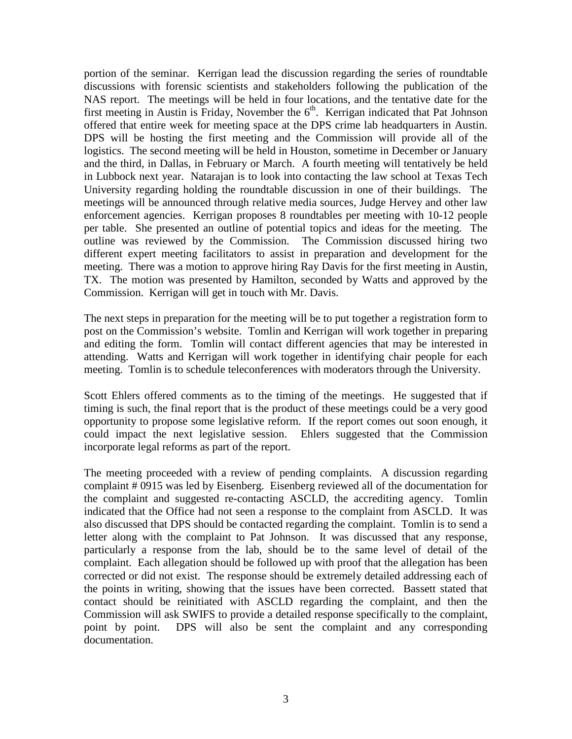portion of the seminar. Kerrigan lead the discussion regarding the series of roundtable discussions with forensic scientists and stakeholders following the publication of the NAS report. The meetings will be held in four locations, and the tentative date for the first meeting in Austin is Friday, November the  $6<sup>th</sup>$ . Kerrigan indicated that Pat Johnson offered that entire week for meeting space at the DPS crime lab headquarters in Austin. DPS will be hosting the first meeting and the Commission will provide all of the logistics. The second meeting will be held in Houston, sometime in December or January and the third, in Dallas, in February or March. A fourth meeting will tentatively be held in Lubbock next year. Natarajan is to look into contacting the law school at Texas Tech University regarding holding the roundtable discussion in one of their buildings. The meetings will be announced through relative media sources, Judge Hervey and other law enforcement agencies. Kerrigan proposes 8 roundtables per meeting with 10-12 people per table. She presented an outline of potential topics and ideas for the meeting. The outline was reviewed by the Commission. The Commission discussed hiring two different expert meeting facilitators to assist in preparation and development for the meeting. There was a motion to approve hiring Ray Davis for the first meeting in Austin, TX. The motion was presented by Hamilton, seconded by Watts and approved by the Commission. Kerrigan will get in touch with Mr. Davis.

The next steps in preparation for the meeting will be to put together a registration form to post on the Commission's website. Tomlin and Kerrigan will work together in preparing and editing the form. Tomlin will contact different agencies that may be interested in attending. Watts and Kerrigan will work together in identifying chair people for each meeting. Tomlin is to schedule teleconferences with moderators through the University.

Scott Ehlers offered comments as to the timing of the meetings. He suggested that if timing is such, the final report that is the product of these meetings could be a very good opportunity to propose some legislative reform. If the report comes out soon enough, it could impact the next legislative session. Ehlers suggested that the Commission incorporate legal reforms as part of the report.

The meeting proceeded with a review of pending complaints. A discussion regarding complaint # 0915 was led by Eisenberg. Eisenberg reviewed all of the documentation for the complaint and suggested re-contacting ASCLD, the accrediting agency. Tomlin indicated that the Office had not seen a response to the complaint from ASCLD. It was also discussed that DPS should be contacted regarding the complaint. Tomlin is to send a letter along with the complaint to Pat Johnson. It was discussed that any response, particularly a response from the lab, should be to the same level of detail of the complaint. Each allegation should be followed up with proof that the allegation has been corrected or did not exist. The response should be extremely detailed addressing each of the points in writing, showing that the issues have been corrected. Bassett stated that contact should be reinitiated with ASCLD regarding the complaint, and then the Commission will ask SWIFS to provide a detailed response specifically to the complaint, point by point. DPS will also be sent the complaint and any corresponding documentation.